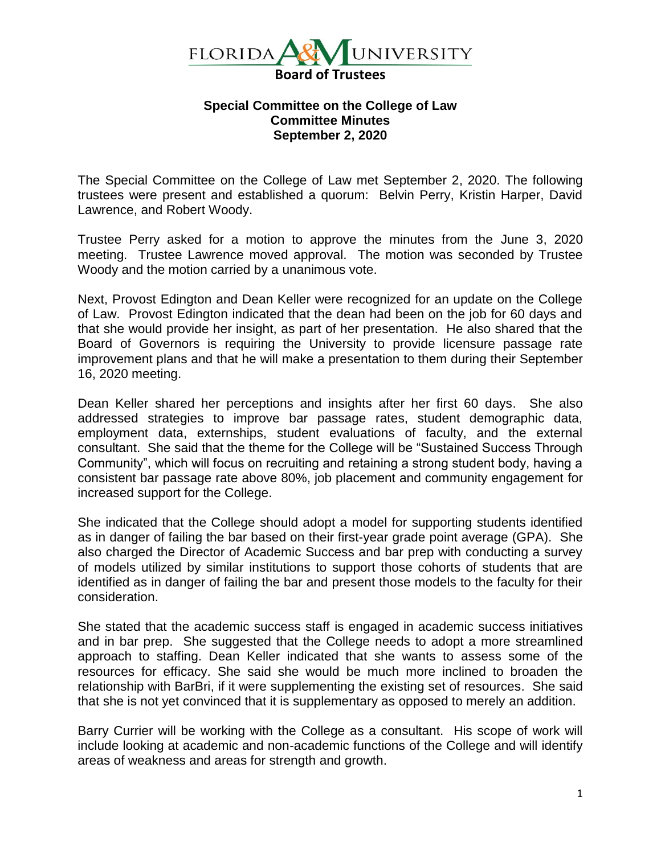

## **Special Committee on the College of Law Committee Minutes September 2, 2020**

The Special Committee on the College of Law met September 2, 2020. The following trustees were present and established a quorum: Belvin Perry, Kristin Harper, David Lawrence, and Robert Woody.

Trustee Perry asked for a motion to approve the minutes from the June 3, 2020 meeting. Trustee Lawrence moved approval. The motion was seconded by Trustee Woody and the motion carried by a unanimous vote.

Next, Provost Edington and Dean Keller were recognized for an update on the College of Law. Provost Edington indicated that the dean had been on the job for 60 days and that she would provide her insight, as part of her presentation. He also shared that the Board of Governors is requiring the University to provide licensure passage rate improvement plans and that he will make a presentation to them during their September 16, 2020 meeting.

Dean Keller shared her perceptions and insights after her first 60 days. She also addressed strategies to improve bar passage rates, student demographic data, employment data, externships, student evaluations of faculty, and the external consultant. She said that the theme for the College will be "Sustained Success Through Community", which will focus on recruiting and retaining a strong student body, having a consistent bar passage rate above 80%, job placement and community engagement for increased support for the College.

She indicated that the College should adopt a model for supporting students identified as in danger of failing the bar based on their first-year grade point average (GPA). She also charged the Director of Academic Success and bar prep with conducting a survey of models utilized by similar institutions to support those cohorts of students that are identified as in danger of failing the bar and present those models to the faculty for their consideration.

She stated that the academic success staff is engaged in academic success initiatives and in bar prep. She suggested that the College needs to adopt a more streamlined approach to staffing. Dean Keller indicated that she wants to assess some of the resources for efficacy. She said she would be much more inclined to broaden the relationship with BarBri, if it were supplementing the existing set of resources. She said that she is not yet convinced that it is supplementary as opposed to merely an addition.

Barry Currier will be working with the College as a consultant. His scope of work will include looking at academic and non-academic functions of the College and will identify areas of weakness and areas for strength and growth.